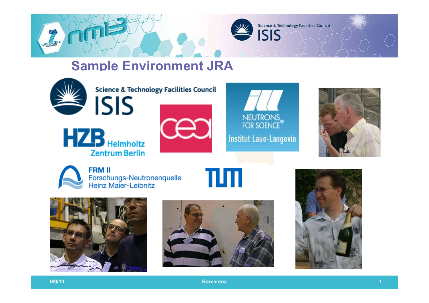

Science & Technology Facilities Council

## **Sample Environment JRA**



**Science & Technology Facilities Council** 









**FRM II** Forschungs-Neutronenquelle Heinz Maier-Leibnitz







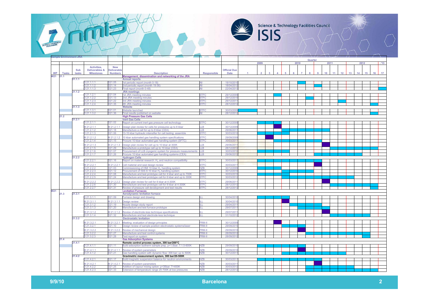

Science & Technology Facilities Council

|                 | <b>Sample Environment JRA</b> |        |                           |                     |                                                                                                                             |                                |                         |      |  |  |  |      |                 |  |  |                 |    |    |              |    |                 |    |    |
|-----------------|-------------------------------|--------|---------------------------|---------------------|-----------------------------------------------------------------------------------------------------------------------------|--------------------------------|-------------------------|------|--|--|--|------|-----------------|--|--|-----------------|----|----|--------------|----|-----------------|----|----|
|                 |                               |        |                           |                     |                                                                                                                             |                                |                         |      |  |  |  |      | Quarter<br>2011 |  |  |                 |    |    |              |    |                 |    |    |
|                 |                               |        |                           |                     |                                                                                                                             |                                |                         | 2009 |  |  |  | 2010 |                 |  |  |                 |    |    | 2012<br>.113 |    |                 |    |    |
|                 |                               |        | Activities.               | <b>New</b>          |                                                                                                                             |                                |                         |      |  |  |  |      |                 |  |  |                 |    |    |              |    |                 |    |    |
|                 |                               | Sub    | <b>Deliverables &amp;</b> | Deliverable         |                                                                                                                             |                                | <b>Official Due</b>     |      |  |  |  |      |                 |  |  |                 |    |    |              |    |                 |    |    |
| <b>WP</b>       | <b>Tasks</b>                  | tasks  | <b>Milestones</b>         | <b>Numbers</b>      | <b>Description</b><br>Management, dissemination and networking of the JRA                                                   | <b>Responsible</b>             | Date                    |      |  |  |  |      |                 |  |  | 10 <sup>1</sup> | 11 | 12 | 13           | 14 | 15 <sub>1</sub> | 16 | 17 |
| W <sub>21</sub> | 21.1                          |        |                           |                     |                                                                                                                             |                                |                         |      |  |  |  |      |                 |  |  |                 |    |    |              |    |                 |    |    |
|                 |                               | 21.1.1 | $D$ 21.1.1.1              | D21.05              | <b>Annual reports</b><br>1st periodic report (month 0-18)                                                                   | All                            | 19/10/201               |      |  |  |  |      |                 |  |  |                 |    |    |              |    |                 |    |    |
|                 |                               |        | D 21.1.1.2                | D21.14              | 2nd periodic report (month 19-36)                                                                                           | All                            | 18/04/201               |      |  |  |  |      |                 |  |  |                 |    |    |              |    |                 |    |    |
|                 |                               |        | D 21.1.1.3                | D21.23              | Final report (month 0-48)                                                                                                   | AΙ                             | 22/04/201               |      |  |  |  |      |                 |  |  |                 |    |    |              |    |                 |    |    |
|                 |                               | 21.1.2 |                           |                     | <b>JRA</b> meetings                                                                                                         |                                |                         |      |  |  |  |      |                 |  |  |                 |    |    |              |    |                 |    |    |
|                 |                               |        | D 21.1.2.1                | D21.04              | 1st JRA meeting minutes                                                                                                     | <b>STFC</b>                    | 29/12/200               |      |  |  |  |      |                 |  |  |                 |    |    |              |    |                 |    |    |
|                 |                               |        | 21.1.2.2                  | D21.13              | 2nd JRA meeting minutes                                                                                                     | <b>STFC</b>                    | 29/12/201               |      |  |  |  |      |                 |  |  |                 |    |    |              |    |                 |    |    |
|                 |                               |        | 21.1.2.3                  | D21.22              | 3rd JRA meeting minutes                                                                                                     | <b>STFC</b>                    | 29/12/201               |      |  |  |  |      |                 |  |  |                 |    |    |              |    |                 |    |    |
|                 |                               |        | 21.1.2.4                  | D21.35              | 4th JRA meeting minutes                                                                                                     | <b>STFC</b>                    | 28/12/201               |      |  |  |  |      |                 |  |  |                 |    |    |              |    |                 |    |    |
|                 |                               | 21.1.3 |                           |                     | <b>Website</b>                                                                                                              |                                |                         |      |  |  |  |      |                 |  |  |                 |    |    |              |    |                 |    |    |
|                 |                               |        | $D$ 21.1.3.1              | 21.01               | Website launched                                                                                                            | <b>STFC</b>                    | 30/03/200               |      |  |  |  |      |                 |  |  |                 |    |    |              |    |                 |    |    |
|                 | 21.2                          |        | $D$ 21.1.3.2              | D21.36              | Final results published on website<br><b>High Pressure Gas Cells</b>                                                        | All                            | 28/12/201               |      |  |  |  |      |                 |  |  |                 |    |    |              |    |                 |    |    |
|                 |                               | 21.2.1 |                           |                     | <b>Inert Gas Cells</b>                                                                                                      |                                |                         |      |  |  |  |      |                 |  |  |                 |    |    |              |    |                 |    |    |
|                 |                               |        | $D$ 21.2.1.1              | D21.02              | Report on current inert gas pressure cell technology                                                                        | <b>STFC</b>                    | 30/12/200               |      |  |  |  |      |                 |  |  |                 |    |    |              |    |                 |    |    |
|                 |                               |        | VI 21.2.1.1               | 121.2.1.1           |                                                                                                                             | <b>IB</b>                      | 30/12/200               |      |  |  |  |      |                 |  |  |                 |    |    |              |    |                 |    |    |
|                 |                               |        | 21.2.1.2                  | D21.18              | Design plan review for cells for pressures up to 8 kbar<br>Manufacture a cell for up to 8 kbar (CEA)                        | LLB.                           | 29/06/201               |      |  |  |  |      |                 |  |  |                 |    |    |              |    |                 |    |    |
|                 |                               |        | 21.2.1.3                  | 021.06              | 13-15 kbar hydraulic intensifier for cell testing: assemble                                                                 | <b>STFC</b>                    | 30/03/2010              |      |  |  |  |      |                 |  |  |                 |    |    |              |    |                 |    |    |
|                 |                               |        |                           |                     |                                                                                                                             |                                |                         |      |  |  |  |      |                 |  |  |                 |    |    |              |    |                 |    |    |
|                 |                               |        | 121.2.1.2                 | 121.2.1.2           | 10 kbar automated gas handling system specifications                                                                        | <b>STFC</b>                    | 29/09/200               |      |  |  |  |      |                 |  |  |                 |    |    |              |    |                 |    |    |
|                 |                               | 21.2.2 | 21.2.1.4                  | 21.15               | Procure 10 kbar automated gas handling system (SFTC)                                                                        | <b>STFC</b>                    | 30/03/201               |      |  |  |  |      |                 |  |  |                 |    |    |              |    |                 |    |    |
|                 |                               |        | 421.2.1.3                 | 121.2.1.3           | Design plan review for cell up to 10 kbar at 300K                                                                           | LB.                            | 29/06/201               |      |  |  |  |      |                 |  |  |                 |    |    |              |    |                 |    |    |
|                 |                               |        | 21.2.1.5                  | D21.29              | Manufacture a prototype cell up to 10 kbar (CEA)                                                                            | LLB.                           | 28/12/2012              |      |  |  |  |      |                 |  |  |                 |    |    |              |    |                 |    |    |
|                 |                               |        | D 21.2.1.6                | 021.07              | Procurement of LLB cryogenic system for pressure measurements                                                               | <b>LLB</b>                     | 30/03/2010              |      |  |  |  |      |                 |  |  |                 |    |    |              |    |                 |    |    |
|                 |                               |        | $D$ 21.2.1.7              | D <sub>21.26</sub>  | Procure 10 kbar automated gas handling systems (CEA)                                                                        | LLB.                           | 29/06/201               |      |  |  |  |      |                 |  |  |                 |    |    |              |    |                 |    |    |
|                 |                               |        | $D$ 21.2.2.1              | D21.16              | <b>Hydrogen Cells</b><br>Report on material research: H <sub>2</sub> and neutron compatibility                              | <b>STFC</b>                    | 30/03/2011              |      |  |  |  |      |                 |  |  |                 |    |    |              |    |                 |    |    |
|                 |                               |        |                           |                     |                                                                                                                             |                                |                         |      |  |  |  |      |                 |  |  |                 |    |    |              |    |                 |    |    |
|                 |                               |        | 121.2.2.1                 | 121.2.2.1<br>21.03  | Cell material and seal design review                                                                                        | <b>STFC</b>                    | 30/03/201               |      |  |  |  |      |                 |  |  |                 |    |    |              |    |                 |    |    |
|                 |                               |        | 21.2.2.2<br>21.2.2.3      | 021.12              | Commissioning of HMI 10 kbar H <sub>2</sub> handling system<br>Procurement of ISIS 8-10 kbar H <sub>2</sub> handling system | <b>HZB</b><br><b>STFC</b>      | 30/12/200<br>30/12/2010 |      |  |  |  |      |                 |  |  |                 |    |    |              |    |                 |    |    |
|                 |                               |        | 21.2.2.4                  | 021.08              | Manufacture and test prototype cell for 4 kbar and up to 700K                                                               | <b>STFC</b>                    | 30/03/2010              |      |  |  |  |      |                 |  |  |                 |    |    |              |    |                 |    |    |
|                 |                               |        | 21.2.2.5                  | 021.24              | Manufacture and test prototype cell for 6 kbar and up to 300K                                                               | <b>STFC</b>                    | 30/03/2012              |      |  |  |  |      |                 |  |  |                 |    |    |              |    |                 |    |    |
|                 |                               |        |                           |                     |                                                                                                                             |                                |                         |      |  |  |  |      |                 |  |  |                 |    |    |              |    |                 |    |    |
|                 |                               |        | 121.2.2.2                 | 121222              | Design plan review for cell for 8 kbar at 4-300K                                                                            | <b>STFC</b>                    | 29/06/201               |      |  |  |  |      |                 |  |  |                 |    |    |              |    |                 |    |    |
|                 |                               |        | 21.2.2.6<br>D 21.2.2.7    | D21.30<br>D21.31    | Manufacture and test prototype cell for 8 kbar at 4-300K<br>Review of pressure cell development and test results            | <b>STFC</b><br><b>STFC</b>     | 28/12/201<br>28/12/2012 |      |  |  |  |      |                 |  |  |                 |    |    |              |    |                 |    |    |
| W21             |                               |        |                           |                     | <b>Levitation Furnaces</b>                                                                                                  |                                |                         |      |  |  |  |      |                 |  |  |                 |    |    |              |    |                 |    |    |
|                 | 21.3                          | 21.3.1 |                           |                     | <b>Aerodynamic levitation furnace</b>                                                                                       |                                |                         |      |  |  |  |      |                 |  |  |                 |    |    |              |    |                 |    |    |
|                 |                               |        | D 21.3.1.1                | D21.09              | Furnace design and drawing                                                                                                  | 11 I                           | 30/04/2010              |      |  |  |  |      |                 |  |  |                 |    |    |              |    |                 |    |    |
|                 |                               |        | 421.3.1.1                 | 121.3.1.1           | Design review                                                                                                               | П                              | 30/04/201               |      |  |  |  |      |                 |  |  |                 |    |    |              |    |                 |    |    |
|                 |                               |        | 21.3.1.2                  | 021.19              | <b>Nozzle design study report</b>                                                                                           | ILL                            | 29/04/201               |      |  |  |  |      |                 |  |  |                 |    |    |              |    |                 |    |    |
|                 |                               |        | 21.3.1.3                  | 021.20              | Manufacture and test furnace prototype                                                                                      | ш                              | 29/07/201               |      |  |  |  |      |                 |  |  |                 |    |    |              |    |                 |    |    |
|                 |                               |        | VI 21.3.1.2               | 121.3.1.2           | Review of electrode-less technique specifications                                                                           | mт                             | 29/07/201               |      |  |  |  |      |                 |  |  |                 |    |    |              |    |                 |    |    |
|                 |                               |        | D 21.3.1.4                | D21.32              | Manufacture and test electrode-less technique                                                                               | ΙLL                            | 31/10/201               |      |  |  |  |      |                 |  |  |                 |    |    |              |    |                 |    |    |
|                 |                               | 21.3.2 |                           |                     | <b>Electrostatic levitation</b>                                                                                             |                                |                         |      |  |  |  |      |                 |  |  |                 |    |    |              |    |                 |    |    |
|                 |                               |        | VI 21.3.2.1               | A 21.3.2.1          |                                                                                                                             | FRM-II                         | 30/12/200               |      |  |  |  |      |                 |  |  |                 |    |    |              |    |                 |    |    |
|                 |                               |        | 21.3.2.1                  | D <sub>21.10</sub>  | Meeting: evaluation of design principles                                                                                    | FRM-II                         | 29/09/2010              |      |  |  |  |      |                 |  |  |                 |    |    |              |    |                 |    |    |
|                 |                               |        |                           |                     | Design review of sample position electrostatic systems/laser                                                                |                                |                         |      |  |  |  |      |                 |  |  |                 |    |    |              |    |                 |    |    |
|                 |                               |        | 421.3.2.2                 | 121.3.2.2           | Review of mechanical design                                                                                                 | FRM-II                         | 29/09/201               |      |  |  |  |      |                 |  |  |                 |    |    |              |    |                 |    |    |
|                 |                               |        | D 21.3.2.2<br>D 21.3.2.3  | D21.27              | Manufacture and test control systems                                                                                        | <b>FRM-II</b><br><b>FRM-II</b> | 28/09/201               |      |  |  |  |      |                 |  |  |                 |    |    |              |    |                 |    |    |
|                 | 21.4                          |        |                           | D21.28              | Test report on system<br><b>Gas Adsorption Systems</b>                                                                      |                                | 28/09/201               |      |  |  |  |      |                 |  |  |                 |    |    |              |    |                 |    |    |
|                 |                               | 21.4.1 |                           |                     | Remote control process system, 300 bar/200°C                                                                                |                                |                         |      |  |  |  |      |                 |  |  |                 |    |    |              |    |                 |    |    |
|                 |                               |        | D 21.4.1.1                | D21.11              | Build adsorption isotherm sample prep. p<1.5bar; T:1.5-600K                                                                 | <b>HZB</b>                     | 29/09/2010              |      |  |  |  |      |                 |  |  |                 |    |    |              |    |                 |    |    |
|                 |                               |        |                           |                     |                                                                                                                             |                                |                         |      |  |  |  |      |                 |  |  |                 |    |    |              |    |                 |    |    |
|                 |                               |        | 121.4.1.1                 | 121.4.1.1<br>D21.21 | Review of system parameters                                                                                                 | HZB.<br><b>HZB</b>             | 29/09/201<br>30/12/2011 |      |  |  |  |      |                 |  |  |                 |    |    |              |    |                 |    |    |
|                 |                               | 21.4.2 | 21.4.1.2                  |                     | Gas handling system with dynamic flow: 300 bar; up to 500K<br>Gravimetric measurement system, 300 bar/20-500K               |                                |                         |      |  |  |  |      |                 |  |  |                 |    |    |              |    |                 |    |    |
|                 |                               |        | $D$ 21.4.2.1              | D <sub>21.17</sub>  | Build magnetic suspension balance for neutron environments                                                                  | <b>HZB</b>                     | 30/03/201               |      |  |  |  |      |                 |  |  |                 |    |    |              |    |                 |    |    |
|                 |                               |        |                           |                     |                                                                                                                             |                                |                         |      |  |  |  |      |                 |  |  |                 |    |    |              |    |                 |    |    |
|                 |                               |        | A 21.4.2.1                | 121.4.2.1           | Review of system parameters<br>Addition of vapour mixing option: p<35bar; T<400K                                            | <b>HZB</b><br><b>HZB</b>       | 30/03/201               |      |  |  |  |      |                 |  |  |                 |    |    |              |    |                 |    |    |
|                 |                               |        | 21.4.2.2<br>D 21.4.2.3    | D21.25<br>D21.33    | Extension of temperature range 20-700K at low pressures                                                                     | <b>HZB</b>                     | 30/03/201<br>28/12/2012 |      |  |  |  |      |                 |  |  |                 |    |    |              |    |                 |    |    |
|                 |                               |        |                           |                     |                                                                                                                             |                                |                         |      |  |  |  |      |                 |  |  |                 |    |    |              |    |                 |    |    |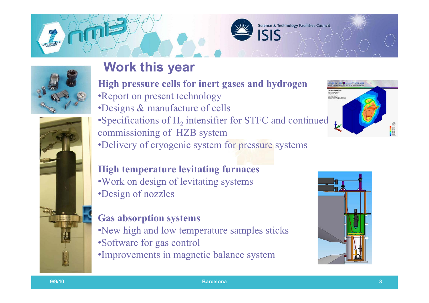





### **Work this year**

**High pressure cells for inert gases and hydrogen**

- •Report on present technology
- •Designs & manufacture of cells

 $\bullet$ Specifications of  $H_2$  intensifier for STFC and continued commissioning of HZB system •Delivery of cryogenic system for pressure systems

#### **High temperature levitating furnaces** •Work on design of levitating systems •Design of nozzles

#### **Gas absorption systems**

- •New high and low temperature samples sticks
- •Software for gas control
- •Improvements in magnetic balance system